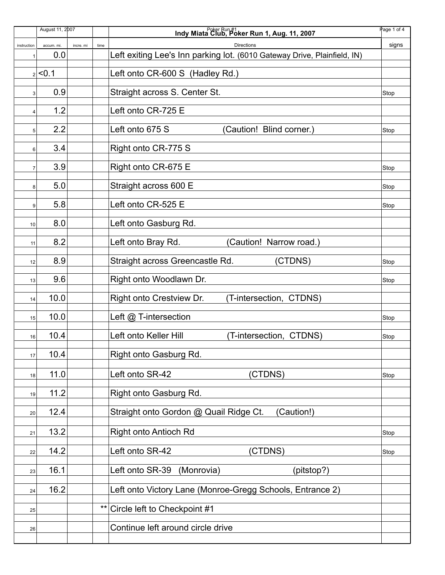|                | August 11, 2007 |           |       | Indy Miata Club, Poker Run 1, Aug. 11, 2007                              | Page 1 of 4 |
|----------------|-----------------|-----------|-------|--------------------------------------------------------------------------|-------------|
| instruction    | accum. mi.      | incre. mi | time  | <b>Directions</b>                                                        | signs       |
| 1              | 0.0             |           |       | Left exiting Lee's Inn parking lot. (6010 Gateway Drive, Plainfield, IN) |             |
|                | $2$ < 0.1       |           |       | Left onto CR-600 S (Hadley Rd.)                                          |             |
|                |                 |           |       |                                                                          |             |
| 3              | 0.9             |           |       | Straight across S. Center St.                                            | Stop        |
| 4              | 1.2             |           |       | Left onto CR-725 E                                                       |             |
|                |                 |           |       |                                                                          |             |
| 5              | 2.2             |           |       | Left onto 675 S<br>(Caution! Blind corner.)                              | Stop        |
| 6              | 3.4             |           |       | Right onto CR-775 S                                                      |             |
|                |                 |           |       |                                                                          |             |
| $\overline{7}$ | 3.9             |           |       | Right onto CR-675 E                                                      | Stop        |
| 8              | 5.0             |           |       | Straight across 600 E                                                    | Stop        |
|                |                 |           |       |                                                                          |             |
| 9              | 5.8             |           |       | Left onto CR-525 E                                                       | Stop        |
| 10             | 8.0             |           |       | Left onto Gasburg Rd.                                                    |             |
|                |                 |           |       |                                                                          |             |
| 11             | 8.2             |           |       | Left onto Bray Rd.<br>(Caution! Narrow road.)                            |             |
| 12             | 8.9             |           |       | (CTDNS)<br>Straight across Greencastle Rd.                               | Stop        |
| 13             | 9.6             |           |       | Right onto Woodlawn Dr.                                                  | Stop        |
| 14             | 10.0            |           |       | Right onto Crestview Dr.<br>(T-intersection, CTDNS)                      |             |
| 15             | 10.0            |           |       | Left @ T-intersection                                                    | Stop        |
| 16             | 10.4            |           |       | Left onto Keller Hill<br>(T-intersection, CTDNS)                         | Stop        |
|                |                 |           |       |                                                                          |             |
| 17             | 10.4            |           |       | Right onto Gasburg Rd.                                                   |             |
| 18             | 11.0            |           |       | Left onto SR-42<br>(CTDNS)                                               | Stop        |
| 19             | 11.2            |           |       | Right onto Gasburg Rd.                                                   |             |
| 20             | 12.4            |           |       | Straight onto Gordon @ Quail Ridge Ct.<br>(Caution!)                     |             |
|                |                 |           |       |                                                                          |             |
| 21             | 13.2            |           |       | <b>Right onto Antioch Rd</b>                                             | Stop        |
| 22             | 14.2            |           |       | Left onto SR-42<br>(CTDNS)                                               | Stop        |
| 23             | 16.1            |           |       | Left onto SR-39<br>(Monrovia)<br>(pitstop?)                              |             |
|                |                 |           |       |                                                                          |             |
| 24             | 16.2            |           |       | Left onto Victory Lane (Monroe-Gregg Schools, Entrance 2)                |             |
| 25             |                 |           | $***$ | Circle left to Checkpoint #1                                             |             |
|                |                 |           |       | Continue left around circle drive                                        |             |
| 26             |                 |           |       |                                                                          |             |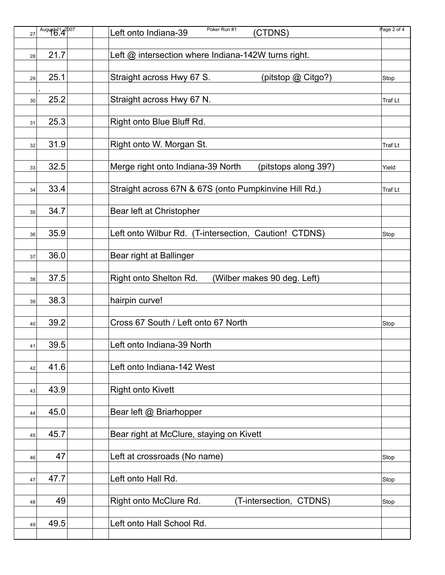| August 14 <sup>2007</sup><br>27 | Poker Run #1<br>Left onto Indiana-39<br>(CTDNS)           | Page 2 of 4 |
|---------------------------------|-----------------------------------------------------------|-------------|
|                                 |                                                           |             |
| 21.7<br>28                      | Left @ intersection where Indiana-142W turns right.       |             |
|                                 |                                                           |             |
| 25.1<br>29                      | Straight across Hwy 67 S.<br>(pitstop @ Citgo?)           | Stop        |
| 25.2<br>30                      | Straight across Hwy 67 N.                                 | Traf Lt     |
|                                 |                                                           |             |
| 25.3<br>31                      | Right onto Blue Bluff Rd.                                 |             |
|                                 |                                                           |             |
| 31.9<br>32                      | Right onto W. Morgan St.                                  | Traf Lt     |
|                                 |                                                           |             |
| 32.5<br>33                      | Merge right onto Indiana-39 North<br>(pitstops along 39?) | Yield       |
|                                 |                                                           |             |
| 33.4<br>34                      | Straight across 67N & 67S (onto Pumpkinvine Hill Rd.)     | Traf Lt     |
|                                 |                                                           |             |
| 34.7<br>35                      | Bear left at Christopher                                  |             |
| 35.9                            | Left onto Wilbur Rd. (T-intersection, Caution! CTDNS)     |             |
| 36                              |                                                           | Stop        |
| 36.0                            | Bear right at Ballinger                                   |             |
| 37                              |                                                           |             |
| 37.5<br>38                      | Right onto Shelton Rd.<br>(Wilber makes 90 deg. Left)     |             |
|                                 |                                                           |             |
| 38.3<br>39                      | hairpin curve!                                            |             |
|                                 |                                                           |             |
| 39.2<br>40                      | Cross 67 South / Left onto 67 North                       | Stop        |
|                                 |                                                           |             |
| 39.5<br>41                      | Left onto Indiana-39 North                                |             |
|                                 |                                                           |             |
| 41.6<br>42                      | Left onto Indiana-142 West                                |             |
|                                 |                                                           |             |
| 43.9<br>43                      | <b>Right onto Kivett</b>                                  |             |
|                                 |                                                           |             |
| 45.0<br>44                      | Bear left @ Briarhopper                                   |             |
|                                 |                                                           |             |
| 45.7<br>45                      | Bear right at McClure, staying on Kivett                  |             |
| 47                              | Left at crossroads (No name)                              |             |
| 46                              |                                                           | Stop        |
| 47.7<br>47                      | Left onto Hall Rd.                                        | Stop        |
|                                 |                                                           |             |
| 49<br>48                        | Right onto McClure Rd.<br>(T-intersection, CTDNS)         | Stop        |
|                                 |                                                           |             |
| 49.5<br>49                      | Left onto Hall School Rd.                                 |             |
|                                 |                                                           |             |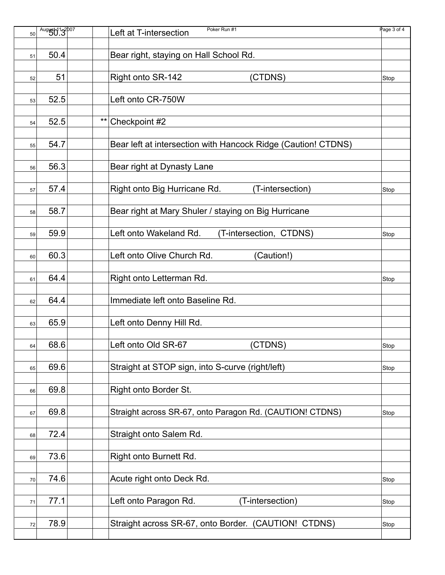| 50 | August 13007 |       | Poker Run #1<br>Left at T-intersection                        | Page 3 of 4 |
|----|--------------|-------|---------------------------------------------------------------|-------------|
|    |              |       |                                                               |             |
| 51 | 50.4         |       | Bear right, staying on Hall School Rd.                        |             |
|    |              |       |                                                               |             |
| 52 | 51           |       | Right onto SR-142<br>(CTDNS)                                  | Stop        |
|    |              |       |                                                               |             |
| 53 | 52.5         |       | Left onto CR-750W                                             |             |
|    |              |       |                                                               |             |
|    |              | $***$ |                                                               |             |
| 54 | 52.5         |       | Checkpoint #2                                                 |             |
|    |              |       |                                                               |             |
| 55 | 54.7         |       | Bear left at intersection with Hancock Ridge (Caution! CTDNS) |             |
|    |              |       |                                                               |             |
| 56 | 56.3         |       | Bear right at Dynasty Lane                                    |             |
|    |              |       |                                                               |             |
| 57 | 57.4         |       | Right onto Big Hurricane Rd.<br>(T-intersection)              | Stop        |
|    |              |       |                                                               |             |
| 58 | 58.7         |       | Bear right at Mary Shuler / staying on Big Hurricane          |             |
|    |              |       |                                                               |             |
| 59 | 59.9         |       | Left onto Wakeland Rd.<br>(T-intersection, CTDNS)             | Stop        |
|    |              |       |                                                               |             |
|    |              |       |                                                               |             |
| 60 | 60.3         |       | Left onto Olive Church Rd.<br>(Caution!)                      |             |
|    |              |       |                                                               |             |
| 61 | 64.4         |       | Right onto Letterman Rd.                                      | Stop        |
|    |              |       |                                                               |             |
| 62 | 64.4         |       | Immediate left onto Baseline Rd.                              |             |
|    |              |       |                                                               |             |
| 63 | 65.9         |       | Left onto Denny Hill Rd.                                      |             |
|    |              |       |                                                               |             |
| 64 | 68.6         |       | Left onto Old SR-67<br>(CTDNS)                                | Stop        |
|    |              |       |                                                               |             |
| 65 | 69.6         |       | Straight at STOP sign, into S-curve (right/left)              | Stop        |
|    |              |       |                                                               |             |
|    |              |       |                                                               |             |
| 66 | 69.8         |       | Right onto Border St.                                         |             |
|    |              |       |                                                               |             |
| 67 | 69.8         |       | Straight across SR-67, onto Paragon Rd. (CAUTION! CTDNS)      | Stop        |
|    |              |       |                                                               |             |
| 68 | 72.4         |       | Straight onto Salem Rd.                                       |             |
|    |              |       |                                                               |             |
| 69 | 73.6         |       | Right onto Burnett Rd.                                        |             |
|    |              |       |                                                               |             |
| 70 | 74.6         |       | Acute right onto Deck Rd.                                     | Stop        |
|    |              |       |                                                               |             |
|    | 77.1         |       | Left onto Paragon Rd.<br>(T-intersection)                     |             |
| 71 |              |       |                                                               | Stop        |
|    |              |       |                                                               |             |
| 72 | 78.9         |       | Straight across SR-67, onto Border. (CAUTION! CTDNS)          | Stop        |
|    |              |       |                                                               |             |